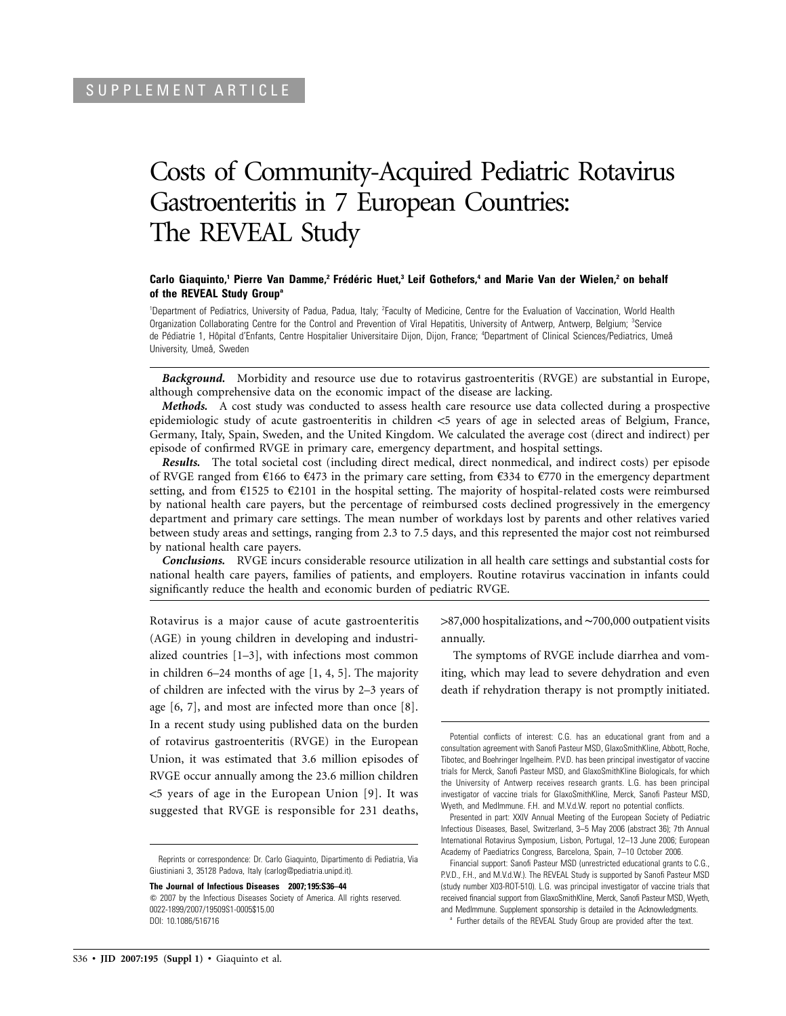# Costs of Community-Acquired Pediatric Rotavirus Gastroenteritis in 7 European Countries: The REVEAL Study

#### **Carlo Giaquinto,<sup>1</sup> Pierre Van Damme,<sup>2</sup> Frédéric Huet,<sup>3</sup> Leif Gothefors,<sup>4</sup> and Marie Van der Wielen,<sup>2</sup> on behalf of the REVEAL Study Groupa**

<sup>1</sup>Department of Pediatrics, University of Padua, Padua, Italy; <sup>2</sup>Faculty of Medicine, Centre for the Evaluation of Vaccination, World Health Organization Collaborating Centre for the Control and Prevention of Viral Hepatitis, University of Antwerp, Antwerp, Belgium; <sup>3</sup>Service de Pédiatrie 1, Hôpital d'Enfants, Centre Hospitalier Universitaire Dijon, Dijon, France; <sup>4</sup>Department of Clinical Sciences/Pediatrics, Umeå University, Umeå, Sweden

*Background.* Morbidity and resource use due to rotavirus gastroenteritis (RVGE) are substantial in Europe, although comprehensive data on the economic impact of the disease are lacking.

*Methods.* A cost study was conducted to assess health care resource use data collected during a prospective epidemiologic study of acute gastroenteritis in children  $<5$  years of age in selected areas of Belgium, France, Germany, Italy, Spain, Sweden, and the United Kingdom. We calculated the average cost (direct and indirect) per episode of confirmed RVGE in primary care, emergency department, and hospital settings.

*Results.* The total societal cost (including direct medical, direct nonmedical, and indirect costs) per episode of RVGE ranged from  $\epsilon$ 166 to  $\epsilon$ 473 in the primary care setting, from  $\epsilon$ 334 to  $\epsilon$ 770 in the emergency department setting, and from  $\epsilon$ 1525 to  $\epsilon$ 2101 in the hospital setting. The majority of hospital-related costs were reimbursed by national health care payers, but the percentage of reimbursed costs declined progressively in the emergency department and primary care settings. The mean number of workdays lost by parents and other relatives varied between study areas and settings, ranging from 2.3 to 7.5 days, and this represented the major cost not reimbursed by national health care payers.

*Conclusions.* RVGE incurs considerable resource utilization in all health care settings and substantial costs for national health care payers, families of patients, and employers. Routine rotavirus vaccination in infants could significantly reduce the health and economic burden of pediatric RVGE.

Rotavirus is a major cause of acute gastroenteritis (AGE) in young children in developing and industrialized countries [1–3], with infections most common in children 6–24 months of age [1, 4, 5]. The majority of children are infected with the virus by 2–3 years of age [6, 7], and most are infected more than once [8]. In a recent study using published data on the burden of rotavirus gastroenteritis (RVGE) in the European Union, it was estimated that 3.6 million episodes of RVGE occur annually among the 23.6 million children !5 years of age in the European Union [9]. It was suggested that RVGE is responsible for 231 deaths,

**The Journal of Infectious Diseases 2007; 195:S36–44**  $\odot$  2007 by the Infectious Diseases Society of America. All rights reserved. 0022-1899/2007/19509S1-0005\$15.00 DOI: 10.1086/516716

<sup>1</sup>87,000 hospitalizations, and ∼700,000 outpatient visits annually.

The symptoms of RVGE include diarrhea and vomiting, which may lead to severe dehydration and even death if rehydration therapy is not promptly initiated.

<sup>a</sup> Further details of the REVEAL Study Group are provided after the text.

Reprints or correspondence: Dr. Carlo Giaquinto, Dipartimento di Pediatria, Via Giustiniani 3, 35128 Padova, Italy (carlog@pediatria.unipd.it).

Potential conflicts of interest: C.G. has an educational grant from and a consultation agreement with Sanofi Pasteur MSD, GlaxoSmithKline, Abbott, Roche, Tibotec, and Boehringer Ingelheim. P.V.D. has been principal investigator of vaccine trials for Merck, Sanofi Pasteur MSD, and GlaxoSmithKline Biologicals, for which the University of Antwerp receives research grants. L.G. has been principal investigator of vaccine trials for GlaxoSmithKline, Merck, Sanofi Pasteur MSD, Wyeth, and MedImmune. F.H. and M.V.d.W. report no potential conflicts.

Presented in part: XXIV Annual Meeting of the European Society of Pediatric Infectious Diseases, Basel, Switzerland, 3–5 May 2006 (abstract 36); 7th Annual International Rotavirus Symposium, Lisbon, Portugal, 12–13 June 2006; European Academy of Paediatrics Congress, Barcelona, Spain, 7–10 October 2006.

Financial support: Sanofi Pasteur MSD (unrestricted educational grants to C.G., P.V.D., F.H., and M.V.d.W.). The REVEAL Study is supported by Sanofi Pasteur MSD (study number X03-ROT-510). L.G. was principal investigator of vaccine trials that received financial support from GlaxoSmithKline, Merck, Sanofi Pasteur MSD, Wyeth, and MedImmune. Supplement sponsorship is detailed in the Acknowledgments.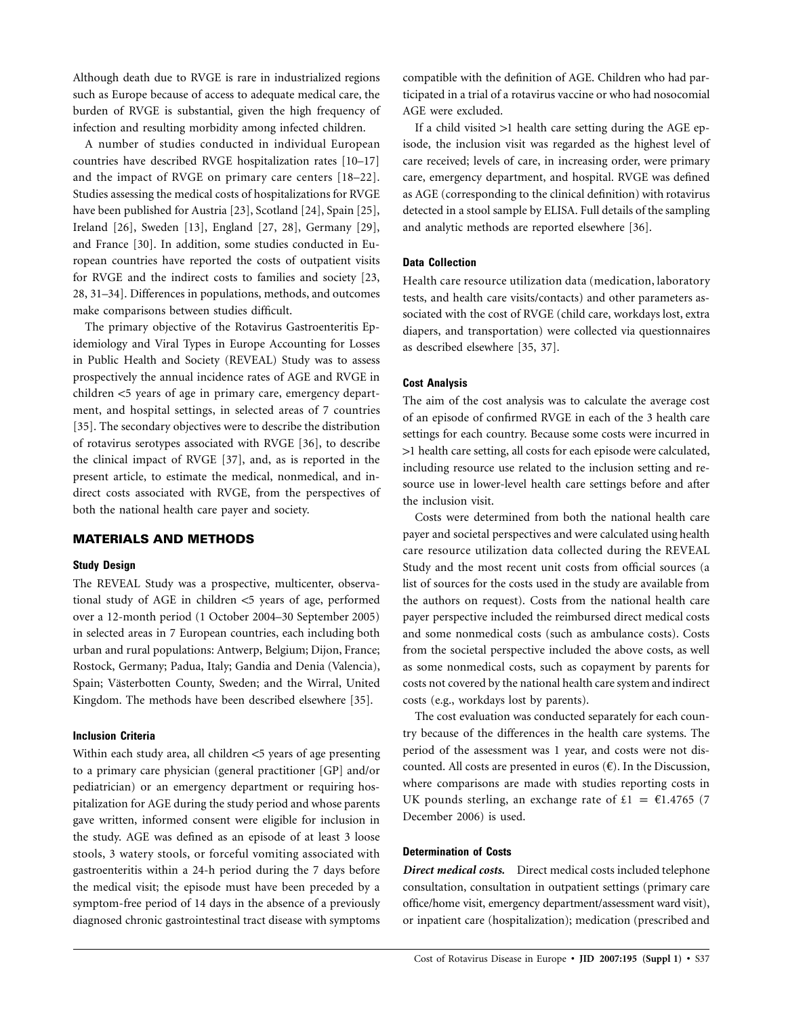Although death due to RVGE is rare in industrialized regions such as Europe because of access to adequate medical care, the burden of RVGE is substantial, given the high frequency of infection and resulting morbidity among infected children.

A number of studies conducted in individual European countries have described RVGE hospitalization rates [10–17] and the impact of RVGE on primary care centers [18–22]. Studies assessing the medical costs of hospitalizations for RVGE have been published for Austria [23], Scotland [24], Spain [25], Ireland [26], Sweden [13], England [27, 28], Germany [29], and France [30]. In addition, some studies conducted in European countries have reported the costs of outpatient visits for RVGE and the indirect costs to families and society [23, 28, 31–34]. Differences in populations, methods, and outcomes make comparisons between studies difficult.

The primary objective of the Rotavirus Gastroenteritis Epidemiology and Viral Types in Europe Accounting for Losses in Public Health and Society (REVEAL) Study was to assess prospectively the annual incidence rates of AGE and RVGE in children <5 years of age in primary care, emergency department, and hospital settings, in selected areas of 7 countries [35]. The secondary objectives were to describe the distribution of rotavirus serotypes associated with RVGE [36], to describe the clinical impact of RVGE [37], and, as is reported in the present article, to estimate the medical, nonmedical, and indirect costs associated with RVGE, from the perspectives of both the national health care payer and society.

## **MATERIALS AND METHODS**

## **Study Design**

The REVEAL Study was a prospective, multicenter, observational study of AGE in children <5 years of age, performed over a 12-month period (1 October 2004–30 September 2005) in selected areas in 7 European countries, each including both urban and rural populations: Antwerp, Belgium; Dijon, France; Rostock, Germany; Padua, Italy; Gandia and Denia (Valencia), Spain; Västerbotten County, Sweden; and the Wirral, United Kingdom. The methods have been described elsewhere [35].

# **Inclusion Criteria**

Within each study area, all children <5 years of age presenting to a primary care physician (general practitioner [GP] and/or pediatrician) or an emergency department or requiring hospitalization for AGE during the study period and whose parents gave written, informed consent were eligible for inclusion in the study. AGE was defined as an episode of at least 3 loose stools, 3 watery stools, or forceful vomiting associated with gastroenteritis within a 24-h period during the 7 days before the medical visit; the episode must have been preceded by a symptom-free period of 14 days in the absence of a previously diagnosed chronic gastrointestinal tract disease with symptoms compatible with the definition of AGE. Children who had participated in a trial of a rotavirus vaccine or who had nosocomial AGE were excluded.

If a child visited  $>1$  health care setting during the AGE episode, the inclusion visit was regarded as the highest level of care received; levels of care, in increasing order, were primary care, emergency department, and hospital. RVGE was defined as AGE (corresponding to the clinical definition) with rotavirus detected in a stool sample by ELISA. Full details of the sampling and analytic methods are reported elsewhere [36].

## **Data Collection**

Health care resource utilization data (medication, laboratory tests, and health care visits/contacts) and other parameters associated with the cost of RVGE (child care, workdays lost, extra diapers, and transportation) were collected via questionnaires as described elsewhere [35, 37].

#### **Cost Analysis**

The aim of the cost analysis was to calculate the average cost of an episode of confirmed RVGE in each of the 3 health care settings for each country. Because some costs were incurred in >1 health care setting, all costs for each episode were calculated, including resource use related to the inclusion setting and resource use in lower-level health care settings before and after the inclusion visit.

Costs were determined from both the national health care payer and societal perspectives and were calculated using health care resource utilization data collected during the REVEAL Study and the most recent unit costs from official sources (a list of sources for the costs used in the study are available from the authors on request). Costs from the national health care payer perspective included the reimbursed direct medical costs and some nonmedical costs (such as ambulance costs). Costs from the societal perspective included the above costs, as well as some nonmedical costs, such as copayment by parents for costs not covered by the national health care system and indirect costs (e.g., workdays lost by parents).

The cost evaluation was conducted separately for each country because of the differences in the health care systems. The period of the assessment was 1 year, and costs were not discounted. All costs are presented in euros  $(\epsilon)$ . In the Discussion, where comparisons are made with studies reporting costs in UK pounds sterling, an exchange rate of  $\text{\pounds}1 = \text{\pounds}1.4765$  (7) December 2006) is used.

#### **Determination of Costs**

*Direct medical costs.* Direct medical costs included telephone consultation, consultation in outpatient settings (primary care office/home visit, emergency department/assessment ward visit), or inpatient care (hospitalization); medication (prescribed and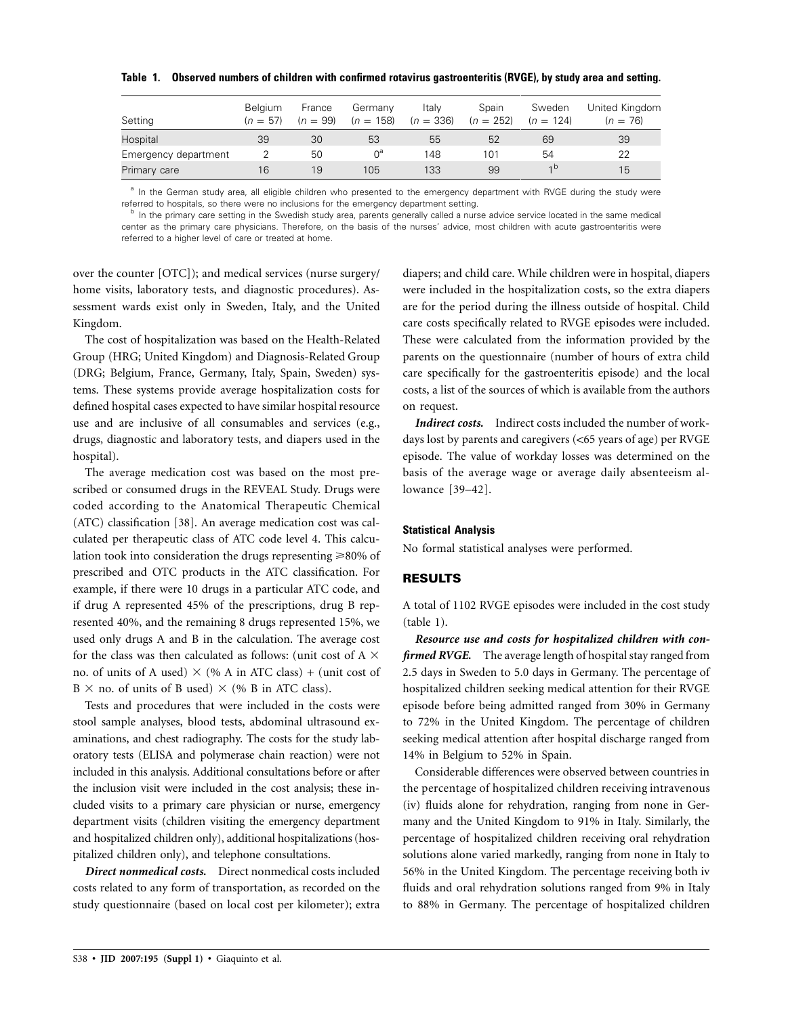| Setting              | <b>Belaium</b><br>$(n = 57)$ | France<br>$(n = 99)$ | Germany<br>$(n = 158)$ | Italv<br>$(n = 336)$ | Spain<br>$(n = 252)$ | Sweden<br>$(n = 124)$ | United Kingdom<br>$(n = 76)$ |
|----------------------|------------------------------|----------------------|------------------------|----------------------|----------------------|-----------------------|------------------------------|
| Hospital             | 39                           | 30                   | 53                     | 55                   | 52                   | 69                    | 39                           |
| Emergency department |                              | 50                   | $0^{\rm a}$            | 148                  | 101                  | 54                    | 22                           |
| Primary care         | 16                           | 19                   | 105                    | 133                  | 99                   | 1 <sup>b</sup>        | 15                           |

**Table 1. Observed numbers of children with confirmed rotavirus gastroenteritis (RVGE), by study area and setting.**

<sup>a</sup> In the German study area, all eligible children who presented to the emergency department with RVGE during the study were

referred to hospitals, so there were no inclusions for the emergency department setting.<br><sup>b</sup> In the primary care setting in the Swedish study area, parents generally called a nurse advice service located in the same medica center as the primary care physicians. Therefore, on the basis of the nurses' advice, most children with acute gastroenteritis were referred to a higher level of care or treated at home.

over the counter [OTC]); and medical services (nurse surgery/ home visits, laboratory tests, and diagnostic procedures). Assessment wards exist only in Sweden, Italy, and the United Kingdom.

The cost of hospitalization was based on the Health-Related Group (HRG; United Kingdom) and Diagnosis-Related Group (DRG; Belgium, France, Germany, Italy, Spain, Sweden) systems. These systems provide average hospitalization costs for defined hospital cases expected to have similar hospital resource use and are inclusive of all consumables and services (e.g., drugs, diagnostic and laboratory tests, and diapers used in the hospital).

The average medication cost was based on the most prescribed or consumed drugs in the REVEAL Study. Drugs were coded according to the Anatomical Therapeutic Chemical (ATC) classification [38]. An average medication cost was calculated per therapeutic class of ATC code level 4. This calculation took into consideration the drugs representing  $\geq 80\%$  of prescribed and OTC products in the ATC classification. For example, if there were 10 drugs in a particular ATC code, and if drug A represented 45% of the prescriptions, drug B represented 40%, and the remaining 8 drugs represented 15%, we used only drugs A and B in the calculation. The average cost for the class was then calculated as follows: (unit cost of A  $\times$ no. of units of A used)  $\times$  (% A in ATC class) + (unit cost of  $B \times$  no. of units of B used)  $\times$  (% B in ATC class).

Tests and procedures that were included in the costs were stool sample analyses, blood tests, abdominal ultrasound examinations, and chest radiography. The costs for the study laboratory tests (ELISA and polymerase chain reaction) were not included in this analysis. Additional consultations before or after the inclusion visit were included in the cost analysis; these included visits to a primary care physician or nurse, emergency department visits (children visiting the emergency department and hospitalized children only), additional hospitalizations (hospitalized children only), and telephone consultations.

*Direct nonmedical costs.* Direct nonmedical costs included costs related to any form of transportation, as recorded on the study questionnaire (based on local cost per kilometer); extra

diapers; and child care. While children were in hospital, diapers were included in the hospitalization costs, so the extra diapers are for the period during the illness outside of hospital. Child care costs specifically related to RVGE episodes were included. These were calculated from the information provided by the parents on the questionnaire (number of hours of extra child care specifically for the gastroenteritis episode) and the local costs, a list of the sources of which is available from the authors on request.

*Indirect costs.* Indirect costs included the number of workdays lost by parents and caregivers  $(<$ 65 years of age) per RVGE episode. The value of workday losses was determined on the basis of the average wage or average daily absenteeism allowance [39–42].

## **Statistical Analysis**

No formal statistical analyses were performed.

## **RESULTS**

A total of 1102 RVGE episodes were included in the cost study (table 1).

*Resource use and costs for hospitalized children with confirmed RVGE.* The average length of hospital stay ranged from 2.5 days in Sweden to 5.0 days in Germany. The percentage of hospitalized children seeking medical attention for their RVGE episode before being admitted ranged from 30% in Germany to 72% in the United Kingdom. The percentage of children seeking medical attention after hospital discharge ranged from 14% in Belgium to 52% in Spain.

Considerable differences were observed between countries in the percentage of hospitalized children receiving intravenous (iv) fluids alone for rehydration, ranging from none in Germany and the United Kingdom to 91% in Italy. Similarly, the percentage of hospitalized children receiving oral rehydration solutions alone varied markedly, ranging from none in Italy to 56% in the United Kingdom. The percentage receiving both iv fluids and oral rehydration solutions ranged from 9% in Italy to 88% in Germany. The percentage of hospitalized children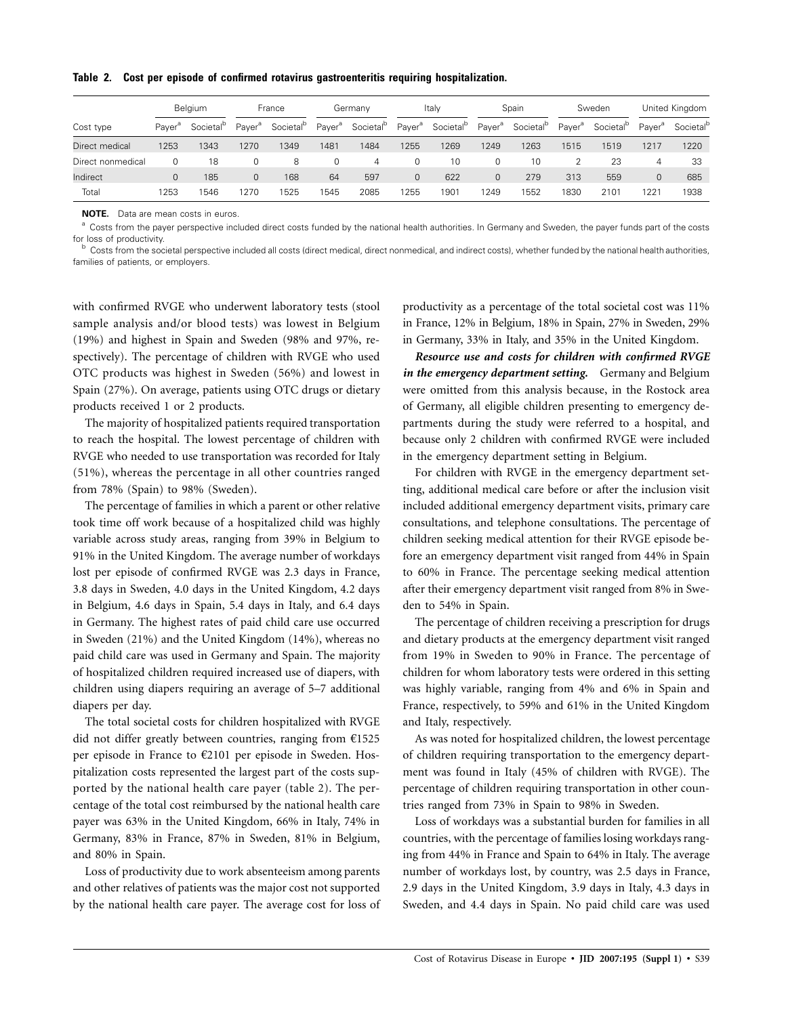|                   |                    | <b>Belgium</b>        |                    | France                |                    | Germany               |                    | Italv                 |                    | Spain                 |                    | Sweden                |                    | United Kingdom        |  |
|-------------------|--------------------|-----------------------|--------------------|-----------------------|--------------------|-----------------------|--------------------|-----------------------|--------------------|-----------------------|--------------------|-----------------------|--------------------|-----------------------|--|
| Cost type         | Paver <sup>a</sup> | Societal <sup>b</sup> | Paver <sup>a</sup> | Societal <sup>p</sup> | Payer <sup>a</sup> | Societal <sup>b</sup> | Payer <sup>a</sup> | Societal <sup>D</sup> | Payer <sup>a</sup> | Societal <sup>p</sup> | Payer <sup>a</sup> | Societal <sup>p</sup> | Payer <sup>a</sup> | Societal <sup>p</sup> |  |
| Direct medical    | 1253               | 1343                  | 1270               | 1349                  | 1481               | 1484                  | 1255               | 1269                  | 1249               | 1263                  | 1515               | 1519                  | 1217               | 1220                  |  |
| Direct nonmedical | 0                  | 18                    |                    | 8                     |                    | 4                     |                    | 10                    |                    | 10                    |                    | 23                    | 4                  | 33                    |  |
| Indirect          | 0                  | 185                   | $\mathbf{0}$       | 168                   | 64                 | 597                   | $\mathbf{0}$       | 622                   | $\Omega$           | 279                   | 313                | 559                   | $\mathbf{0}$       | 685                   |  |
| Total             | 1253               | 1546                  | 1270               | 1525                  | 1545               | 2085                  | 1255               | 1901                  | 249                | 1552                  | 1830               | 2101                  | 1221               | 1938                  |  |

**Table 2. Cost per episode of confirmed rotavirus gastroenteritis requiring hospitalization.**

**NOTE.** Data are mean costs in euros.

<sup>a</sup> Costs from the payer perspective included direct costs funded by the national health authorities. In Germany and Sweden, the payer funds part of the costs for loss of productivity.<br><sup>b</sup> Costs from the societal perspective included all costs (direct medical, direct nonmedical, and indirect costs), whether funded by the national health authorities,

families of patients, or employers.

with confirmed RVGE who underwent laboratory tests (stool sample analysis and/or blood tests) was lowest in Belgium (19%) and highest in Spain and Sweden (98% and 97%, respectively). The percentage of children with RVGE who used OTC products was highest in Sweden (56%) and lowest in Spain (27%). On average, patients using OTC drugs or dietary products received 1 or 2 products.

The majority of hospitalized patients required transportation to reach the hospital. The lowest percentage of children with RVGE who needed to use transportation was recorded for Italy (51%), whereas the percentage in all other countries ranged from 78% (Spain) to 98% (Sweden).

The percentage of families in which a parent or other relative took time off work because of a hospitalized child was highly variable across study areas, ranging from 39% in Belgium to 91% in the United Kingdom. The average number of workdays lost per episode of confirmed RVGE was 2.3 days in France, 3.8 days in Sweden, 4.0 days in the United Kingdom, 4.2 days in Belgium, 4.6 days in Spain, 5.4 days in Italy, and 6.4 days in Germany. The highest rates of paid child care use occurred in Sweden (21%) and the United Kingdom (14%), whereas no paid child care was used in Germany and Spain. The majority of hospitalized children required increased use of diapers, with children using diapers requiring an average of 5–7 additional diapers per day.

The total societal costs for children hospitalized with RVGE did not differ greatly between countries, ranging from  $E1525$ per episode in France to €2101 per episode in Sweden. Hospitalization costs represented the largest part of the costs supported by the national health care payer (table 2). The percentage of the total cost reimbursed by the national health care payer was 63% in the United Kingdom, 66% in Italy, 74% in Germany, 83% in France, 87% in Sweden, 81% in Belgium, and 80% in Spain.

Loss of productivity due to work absenteeism among parents and other relatives of patients was the major cost not supported by the national health care payer. The average cost for loss of productivity as a percentage of the total societal cost was 11% in France, 12% in Belgium, 18% in Spain, 27% in Sweden, 29% in Germany, 33% in Italy, and 35% in the United Kingdom.

*Resource use and costs for children with confirmed RVGE* in the emergency department setting. Germany and Belgium were omitted from this analysis because, in the Rostock area of Germany, all eligible children presenting to emergency departments during the study were referred to a hospital, and because only 2 children with confirmed RVGE were included in the emergency department setting in Belgium.

For children with RVGE in the emergency department setting, additional medical care before or after the inclusion visit included additional emergency department visits, primary care consultations, and telephone consultations. The percentage of children seeking medical attention for their RVGE episode before an emergency department visit ranged from 44% in Spain to 60% in France. The percentage seeking medical attention after their emergency department visit ranged from 8% in Sweden to 54% in Spain.

The percentage of children receiving a prescription for drugs and dietary products at the emergency department visit ranged from 19% in Sweden to 90% in France. The percentage of children for whom laboratory tests were ordered in this setting was highly variable, ranging from 4% and 6% in Spain and France, respectively, to 59% and 61% in the United Kingdom and Italy, respectively.

As was noted for hospitalized children, the lowest percentage of children requiring transportation to the emergency department was found in Italy (45% of children with RVGE). The percentage of children requiring transportation in other countries ranged from 73% in Spain to 98% in Sweden.

Loss of workdays was a substantial burden for families in all countries, with the percentage of families losing workdays ranging from 44% in France and Spain to 64% in Italy. The average number of workdays lost, by country, was 2.5 days in France, 2.9 days in the United Kingdom, 3.9 days in Italy, 4.3 days in Sweden, and 4.4 days in Spain. No paid child care was used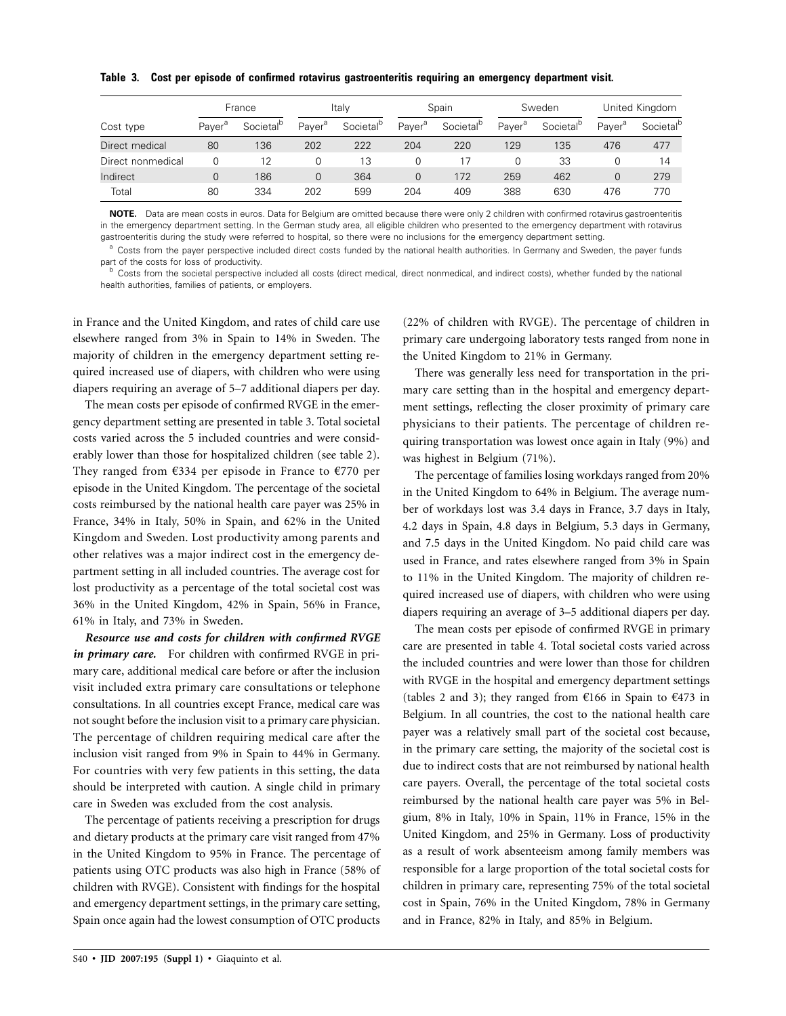|                   |                    | France                |                    | Italy                 |                    | Spain                 |                    | Sweden                |                    | United Kingdom        |
|-------------------|--------------------|-----------------------|--------------------|-----------------------|--------------------|-----------------------|--------------------|-----------------------|--------------------|-----------------------|
| Cost type         | Paver <sup>a</sup> | Societal <sup>b</sup> | Paver <sup>a</sup> | Societal <sup>p</sup> | Paver <sup>a</sup> | Societal <sup>b</sup> | Payer <sup>a</sup> | Societal <sup>b</sup> | Paver <sup>a</sup> | Societal <sup>c</sup> |
| Direct medical    | 80                 | 136                   | 202                | 222                   | 204                | 220                   | 129                | 135                   | 476                | 477                   |
| Direct nonmedical |                    | 12                    | 0                  | 13                    |                    |                       |                    | 33                    |                    | 14                    |
| Indirect          |                    | 186                   | 0                  | 364                   |                    | 172                   | 259                | 462                   | 0                  | 279                   |
| Total             | 80                 | 334                   | 202                | 599                   | 204                | 409                   | 388                | 630                   | 476                | 770                   |

**Table 3. Cost per episode of confirmed rotavirus gastroenteritis requiring an emergency department visit.**

**NOTE.** Data are mean costs in euros. Data for Belgium are omitted because there were only 2 children with confirmed rotavirus gastroenteritis in the emergency department setting. In the German study area, all eligible children who presented to the emergency department with rotavirus gastroenteritis during the study were referred to hospital, so there were no inclusions for the emergency department setting.

<sup>a</sup> Costs from the payer perspective included direct costs funded by the national health authorities. In Germany and Sweden, the payer funds

part of the costs for loss of productivity. b Costs from the societal perspective included all costs (direct medical, direct nonmedical, and indirect costs), whether funded by the national health authorities, families of patients, or employers.

in France and the United Kingdom, and rates of child care use elsewhere ranged from 3% in Spain to 14% in Sweden. The majority of children in the emergency department setting required increased use of diapers, with children who were using diapers requiring an average of 5–7 additional diapers per day.

The mean costs per episode of confirmed RVGE in the emergency department setting are presented in table 3. Total societal costs varied across the 5 included countries and were considerably lower than those for hospitalized children (see table 2). They ranged from  $\epsilon$ 334 per episode in France to  $\epsilon$ 770 per episode in the United Kingdom. The percentage of the societal costs reimbursed by the national health care payer was 25% in France, 34% in Italy, 50% in Spain, and 62% in the United Kingdom and Sweden. Lost productivity among parents and other relatives was a major indirect cost in the emergency department setting in all included countries. The average cost for lost productivity as a percentage of the total societal cost was 36% in the United Kingdom, 42% in Spain, 56% in France, 61% in Italy, and 73% in Sweden.

*Resource use and costs for children with confirmed RVGE* in primary care. For children with confirmed RVGE in primary care, additional medical care before or after the inclusion visit included extra primary care consultations or telephone consultations. In all countries except France, medical care was not sought before the inclusion visit to a primary care physician. The percentage of children requiring medical care after the inclusion visit ranged from 9% in Spain to 44% in Germany. For countries with very few patients in this setting, the data should be interpreted with caution. A single child in primary care in Sweden was excluded from the cost analysis.

The percentage of patients receiving a prescription for drugs and dietary products at the primary care visit ranged from 47% in the United Kingdom to 95% in France. The percentage of patients using OTC products was also high in France (58% of children with RVGE). Consistent with findings for the hospital and emergency department settings, in the primary care setting, Spain once again had the lowest consumption of OTC products

(22% of children with RVGE). The percentage of children in primary care undergoing laboratory tests ranged from none in the United Kingdom to 21% in Germany.

There was generally less need for transportation in the primary care setting than in the hospital and emergency department settings, reflecting the closer proximity of primary care physicians to their patients. The percentage of children requiring transportation was lowest once again in Italy (9%) and was highest in Belgium (71%).

The percentage of families losing workdays ranged from 20% in the United Kingdom to 64% in Belgium. The average number of workdays lost was 3.4 days in France, 3.7 days in Italy, 4.2 days in Spain, 4.8 days in Belgium, 5.3 days in Germany, and 7.5 days in the United Kingdom. No paid child care was used in France, and rates elsewhere ranged from 3% in Spain to 11% in the United Kingdom. The majority of children required increased use of diapers, with children who were using diapers requiring an average of 3–5 additional diapers per day.

The mean costs per episode of confirmed RVGE in primary care are presented in table 4. Total societal costs varied across the included countries and were lower than those for children with RVGE in the hospital and emergency department settings (tables 2 and 3); they ranged from  $£166$  in Spain to  $£473$  in Belgium. In all countries, the cost to the national health care payer was a relatively small part of the societal cost because, in the primary care setting, the majority of the societal cost is due to indirect costs that are not reimbursed by national health care payers. Overall, the percentage of the total societal costs reimbursed by the national health care payer was 5% in Belgium, 8% in Italy, 10% in Spain, 11% in France, 15% in the United Kingdom, and 25% in Germany. Loss of productivity as a result of work absenteeism among family members was responsible for a large proportion of the total societal costs for children in primary care, representing 75% of the total societal cost in Spain, 76% in the United Kingdom, 78% in Germany and in France, 82% in Italy, and 85% in Belgium.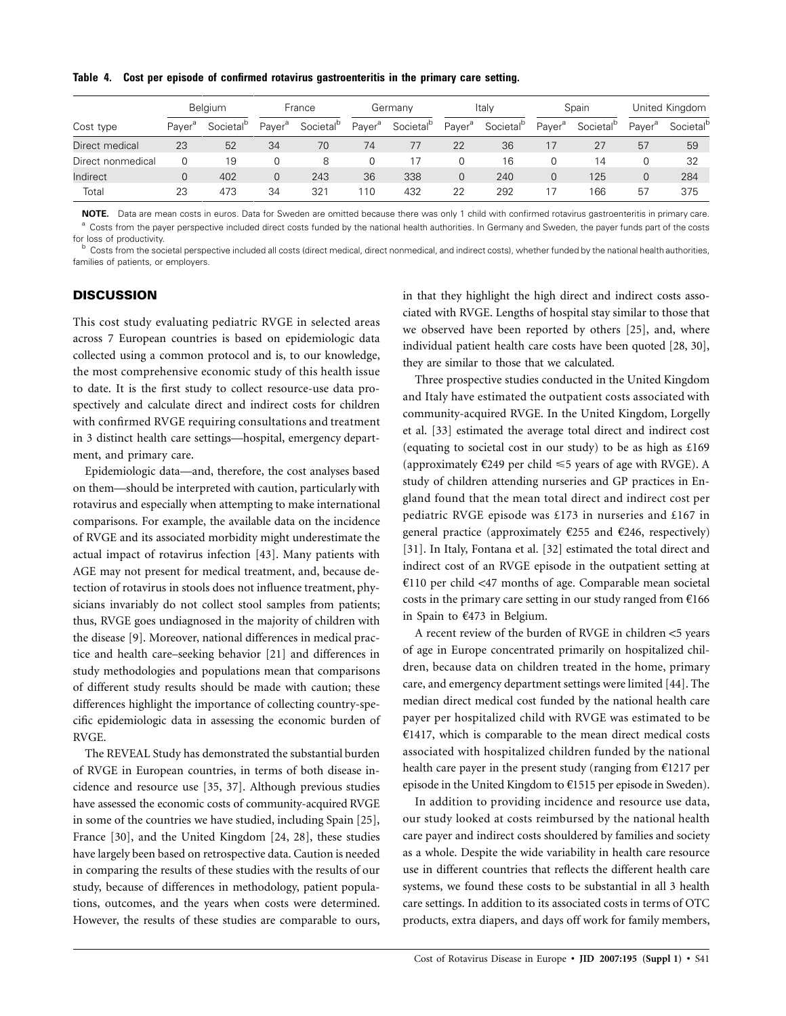|  |  |  |  |  | Table 4. Cost per episode of confirmed rotavirus gastroenteritis in the primary care setting. |  |  |  |  |
|--|--|--|--|--|-----------------------------------------------------------------------------------------------|--|--|--|--|
|--|--|--|--|--|-----------------------------------------------------------------------------------------------|--|--|--|--|

|                   |                    | <b>Belgium</b>        |                    | France                |                    | Germany               |                    | Italv                 |                    | Spain                 |                    | United Kingdom        |  |
|-------------------|--------------------|-----------------------|--------------------|-----------------------|--------------------|-----------------------|--------------------|-----------------------|--------------------|-----------------------|--------------------|-----------------------|--|
| Cost type         | Paver <sup>a</sup> | Societal <sup>p</sup> | Paver <sup>a</sup> | Societal <sup>p</sup> | Payer <sup>a</sup> | Societal <sup>b</sup> | Payer <sup>a</sup> | Societal <sup>b</sup> | Payer <sup>a</sup> | Societal <sup>p</sup> | Paver <sup>a</sup> | Societal <sup>p</sup> |  |
| Direct medical    | 23                 | 52                    | 34                 | 70                    | 74                 | 77                    | 22                 | 36                    | 17                 | 27                    | 57                 | 59                    |  |
| Direct nonmedical | 0                  | 19                    |                    | 8                     | 0                  | 17                    |                    | 16                    |                    | 14                    | 0                  | 32                    |  |
| Indirect          | 0                  | 402                   | $\Omega$           | 243                   | 36                 | 338                   | $\Omega$           | 240                   | 0                  | 125                   | $\Omega$           | 284                   |  |
| Total             | 23                 | 473                   | 34                 | 321                   | 10                 | 432                   | 22                 | 292                   | 17                 | 166                   | 57                 | 375                   |  |

**NOTE.** Data are mean costs in euros. Data for Sweden are omitted because there was only 1 child with confirmed rotavirus gastroenteritis in primary care. <sup>a</sup> Costs from the payer perspective included direct costs funded by the national health authorities. In Germany and Sweden, the payer funds part of the costs

for loss of productivity.<br><sup>b</sup> Costs from the societal perspective included all costs (direct medical, direct nonmedical, and indirect costs), whether funded by the national health authorities,

families of patients, or employers.

# **DISCUSSION**

This cost study evaluating pediatric RVGE in selected areas across 7 European countries is based on epidemiologic data collected using a common protocol and is, to our knowledge, the most comprehensive economic study of this health issue to date. It is the first study to collect resource-use data prospectively and calculate direct and indirect costs for children with confirmed RVGE requiring consultations and treatment in 3 distinct health care settings—hospital, emergency department, and primary care.

Epidemiologic data—and, therefore, the cost analyses based on them—should be interpreted with caution, particularly with rotavirus and especially when attempting to make international comparisons. For example, the available data on the incidence of RVGE and its associated morbidity might underestimate the actual impact of rotavirus infection [43]. Many patients with AGE may not present for medical treatment, and, because detection of rotavirus in stools does not influence treatment, physicians invariably do not collect stool samples from patients; thus, RVGE goes undiagnosed in the majority of children with the disease [9]. Moreover, national differences in medical practice and health care–seeking behavior [21] and differences in study methodologies and populations mean that comparisons of different study results should be made with caution; these differences highlight the importance of collecting country-specific epidemiologic data in assessing the economic burden of RVGE.

The REVEAL Study has demonstrated the substantial burden of RVGE in European countries, in terms of both disease incidence and resource use [35, 37]. Although previous studies have assessed the economic costs of community-acquired RVGE in some of the countries we have studied, including Spain [25], France [30], and the United Kingdom [24, 28], these studies have largely been based on retrospective data. Caution is needed in comparing the results of these studies with the results of our study, because of differences in methodology, patient populations, outcomes, and the years when costs were determined. However, the results of these studies are comparable to ours,

in that they highlight the high direct and indirect costs associated with RVGE. Lengths of hospital stay similar to those that we observed have been reported by others [25], and, where individual patient health care costs have been quoted [28, 30], they are similar to those that we calculated.

Three prospective studies conducted in the United Kingdom and Italy have estimated the outpatient costs associated with community-acquired RVGE. In the United Kingdom, Lorgelly et al. [33] estimated the average total direct and indirect cost (equating to societal cost in our study) to be as high as £169 (approximately  $E249$  per child  $\leq 5$  years of age with RVGE). A study of children attending nurseries and GP practices in England found that the mean total direct and indirect cost per pediatric RVGE episode was £173 in nurseries and £167 in general practice (approximately  $E$ 255 and  $E$ 246, respectively) [31]. In Italy, Fontana et al. [32] estimated the total direct and indirect cost of an RVGE episode in the outpatient setting at  $£110$  per child <47 months of age. Comparable mean societal costs in the primary care setting in our study ranged from  $E166$ in Spain to  $E$ 473 in Belgium.

A recent review of the burden of RVGE in children  $<$  5 years of age in Europe concentrated primarily on hospitalized children, because data on children treated in the home, primary care, and emergency department settings were limited [44]. The median direct medical cost funded by the national health care payer per hospitalized child with RVGE was estimated to be  $E1417$ , which is comparable to the mean direct medical costs associated with hospitalized children funded by the national health care payer in the present study (ranging from  $E1217$  per episode in the United Kingdom to  $E1515$  per episode in Sweden).

In addition to providing incidence and resource use data, our study looked at costs reimbursed by the national health care payer and indirect costs shouldered by families and society as a whole. Despite the wide variability in health care resource use in different countries that reflects the different health care systems, we found these costs to be substantial in all 3 health care settings. In addition to its associated costs in terms of OTC products, extra diapers, and days off work for family members,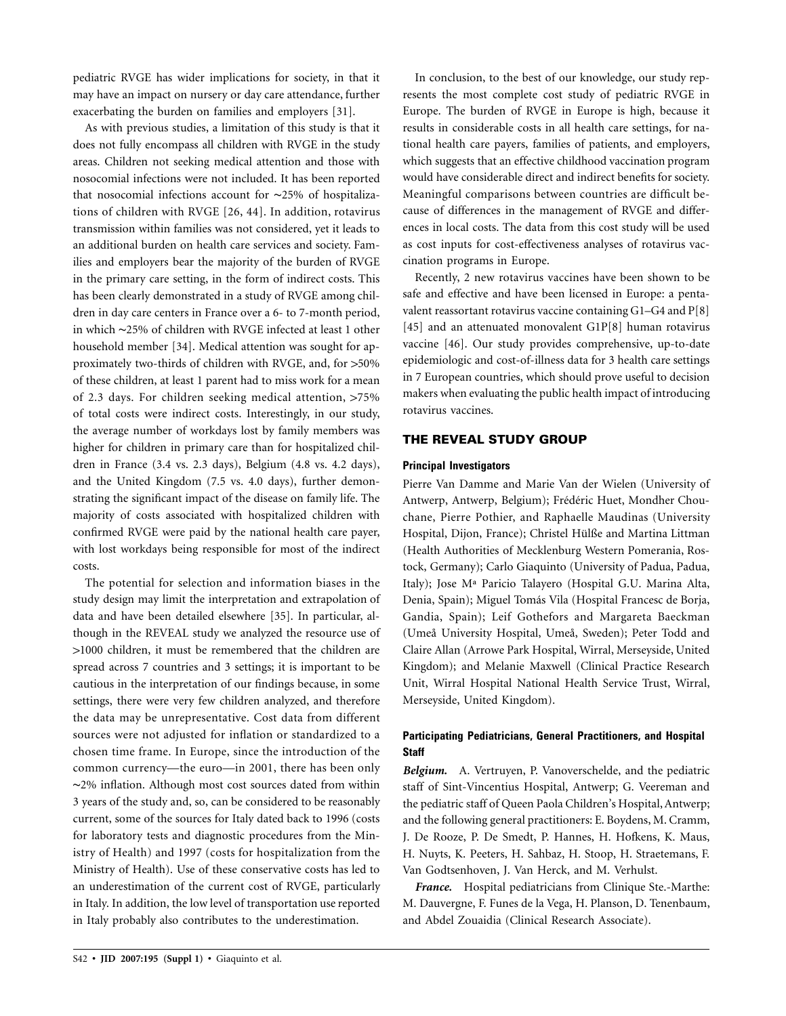pediatric RVGE has wider implications for society, in that it may have an impact on nursery or day care attendance, further exacerbating the burden on families and employers [31].

As with previous studies, a limitation of this study is that it does not fully encompass all children with RVGE in the study areas. Children not seeking medical attention and those with nosocomial infections were not included. It has been reported that nosocomial infections account for ∼25% of hospitalizations of children with RVGE [26, 44]. In addition, rotavirus transmission within families was not considered, yet it leads to an additional burden on health care services and society. Families and employers bear the majority of the burden of RVGE in the primary care setting, in the form of indirect costs. This has been clearly demonstrated in a study of RVGE among children in day care centers in France over a 6- to 7-month period, in which ∼25% of children with RVGE infected at least 1 other household member [34]. Medical attention was sought for approximately two-thirds of children with RVGE, and, for >50% of these children, at least 1 parent had to miss work for a mean of 2.3 days. For children seeking medical attention, >75% of total costs were indirect costs. Interestingly, in our study, the average number of workdays lost by family members was higher for children in primary care than for hospitalized children in France (3.4 vs. 2.3 days), Belgium (4.8 vs. 4.2 days), and the United Kingdom (7.5 vs. 4.0 days), further demonstrating the significant impact of the disease on family life. The majority of costs associated with hospitalized children with confirmed RVGE were paid by the national health care payer, with lost workdays being responsible for most of the indirect costs.

The potential for selection and information biases in the study design may limit the interpretation and extrapolation of data and have been detailed elsewhere [35]. In particular, although in the REVEAL study we analyzed the resource use of 11000 children, it must be remembered that the children are spread across 7 countries and 3 settings; it is important to be cautious in the interpretation of our findings because, in some settings, there were very few children analyzed, and therefore the data may be unrepresentative. Cost data from different sources were not adjusted for inflation or standardized to a chosen time frame. In Europe, since the introduction of the common currency—the euro—in 2001, there has been only ∼2% inflation. Although most cost sources dated from within 3 years of the study and, so, can be considered to be reasonably current, some of the sources for Italy dated back to 1996 (costs for laboratory tests and diagnostic procedures from the Ministry of Health) and 1997 (costs for hospitalization from the Ministry of Health). Use of these conservative costs has led to an underestimation of the current cost of RVGE, particularly in Italy. In addition, the low level of transportation use reported in Italy probably also contributes to the underestimation.

In conclusion, to the best of our knowledge, our study represents the most complete cost study of pediatric RVGE in Europe. The burden of RVGE in Europe is high, because it results in considerable costs in all health care settings, for national health care payers, families of patients, and employers, which suggests that an effective childhood vaccination program would have considerable direct and indirect benefits for society. Meaningful comparisons between countries are difficult because of differences in the management of RVGE and differences in local costs. The data from this cost study will be used as cost inputs for cost-effectiveness analyses of rotavirus vaccination programs in Europe.

Recently, 2 new rotavirus vaccines have been shown to be safe and effective and have been licensed in Europe: a pentavalent reassortant rotavirus vaccine containing G1–G4 and P[8] [45] and an attenuated monovalent G1P[8] human rotavirus vaccine [46]. Our study provides comprehensive, up-to-date epidemiologic and cost-of-illness data for 3 health care settings in 7 European countries, which should prove useful to decision makers when evaluating the public health impact of introducing rotavirus vaccines.

# **THE REVEAL STUDY GROUP**

# **Principal Investigators**

Pierre Van Damme and Marie Van der Wielen (University of Antwerp, Antwerp, Belgium); Frédéric Huet, Mondher Chouchane, Pierre Pothier, and Raphaelle Maudinas (University Hospital, Dijon, France); Christel Hülße and Martina Littman (Health Authorities of Mecklenburg Western Pomerania, Rostock, Germany); Carlo Giaquinto (University of Padua, Padua, Italy); Jose Mª Paricio Talayero (Hospital G.U. Marina Alta, Denia, Spain); Miguel Tomás Vila (Hospital Francesc de Borja, Gandia, Spain); Leif Gothefors and Margareta Baeckman (Umeå University Hospital, Umeå, Sweden); Peter Todd and Claire Allan (Arrowe Park Hospital, Wirral, Merseyside, United Kingdom); and Melanie Maxwell (Clinical Practice Research Unit, Wirral Hospital National Health Service Trust, Wirral, Merseyside, United Kingdom).

# **Participating Pediatricians, General Practitioners, and Hospital Staff**

*Belgium.* A. Vertruyen, P. Vanoverschelde, and the pediatric staff of Sint-Vincentius Hospital, Antwerp; G. Veereman and the pediatric staff of Queen Paola Children's Hospital, Antwerp; and the following general practitioners: E. Boydens, M. Cramm, J. De Rooze, P. De Smedt, P. Hannes, H. Hofkens, K. Maus, H. Nuyts, K. Peeters, H. Sahbaz, H. Stoop, H. Straetemans, F. Van Godtsenhoven, J. Van Herck, and M. Verhulst.

*France.* Hospital pediatricians from Clinique Ste.-Marthe: M. Dauvergne, F. Funes de la Vega, H. Planson, D. Tenenbaum, and Abdel Zouaidia (Clinical Research Associate).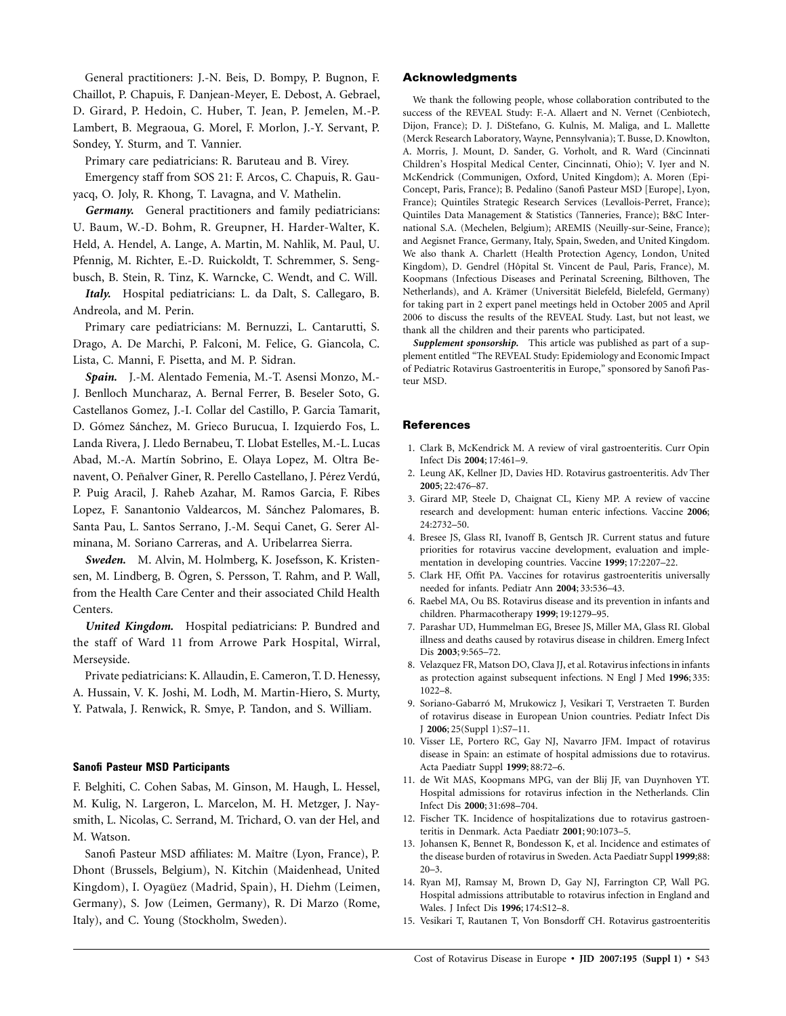General practitioners: J.-N. Beis, D. Bompy, P. Bugnon, F. Chaillot, P. Chapuis, F. Danjean-Meyer, E. Debost, A. Gebrael, D. Girard, P. Hedoin, C. Huber, T. Jean, P. Jemelen, M.-P. Lambert, B. Megraoua, G. Morel, F. Morlon, J.-Y. Servant, P. Sondey, Y. Sturm, and T. Vannier.

Primary care pediatricians: R. Baruteau and B. Virey.

Emergency staff from SOS 21: F. Arcos, C. Chapuis, R. Gauyacq, O. Joly, R. Khong, T. Lavagna, and V. Mathelin.

*Germany.* General practitioners and family pediatricians: U. Baum, W.-D. Bohm, R. Greupner, H. Harder-Walter, K. Held, A. Hendel, A. Lange, A. Martin, M. Nahlik, M. Paul, U. Pfennig, M. Richter, E.-D. Ruickoldt, T. Schremmer, S. Sengbusch, B. Stein, R. Tinz, K. Warncke, C. Wendt, and C. Will.

*Italy.* Hospital pediatricians: L. da Dalt, S. Callegaro, B. Andreola, and M. Perin.

Primary care pediatricians: M. Bernuzzi, L. Cantarutti, S. Drago, A. De Marchi, P. Falconi, M. Felice, G. Giancola, C. Lista, C. Manni, F. Pisetta, and M. P. Sidran.

*Spain.* J.-M. Alentado Femenia, M.-T. Asensi Monzo, M.- J. Benlloch Muncharaz, A. Bernal Ferrer, B. Beseler Soto, G. Castellanos Gomez, J.-I. Collar del Castillo, P. Garcia Tamarit, D. Gómez Sánchez, M. Grieco Burucua, I. Izquierdo Fos, L. Landa Rivera, J. Lledo Bernabeu, T. Llobat Estelles, M.-L. Lucas Abad, M.-A. Martín Sobrino, E. Olaya Lopez, M. Oltra Benavent, O. Peñalver Giner, R. Perello Castellano, J. Pérez Verdú, P. Puig Aracil, J. Raheb Azahar, M. Ramos Garcia, F. Ribes Lopez, F. Sanantonio Valdearcos, M. Sánchez Palomares, B. Santa Pau, L. Santos Serrano, J.-M. Sequi Canet, G. Serer Alminana, M. Soriano Carreras, and A. Uribelarrea Sierra.

*Sweden.* M. Alvin, M. Holmberg, K. Josefsson, K. Kristensen, M. Lindberg, B. Ögren, S. Persson, T. Rahm, and P. Wall, from the Health Care Center and their associated Child Health Centers.

*United Kingdom.* Hospital pediatricians: P. Bundred and the staff of Ward 11 from Arrowe Park Hospital, Wirral, Merseyside.

Private pediatricians: K. Allaudin, E. Cameron, T. D. Henessy, A. Hussain, V. K. Joshi, M. Lodh, M. Martin-Hiero, S. Murty, Y. Patwala, J. Renwick, R. Smye, P. Tandon, and S. William.

#### **Sanofi Pasteur MSD Participants**

F. Belghiti, C. Cohen Sabas, M. Ginson, M. Haugh, L. Hessel, M. Kulig, N. Largeron, L. Marcelon, M. H. Metzger, J. Naysmith, L. Nicolas, C. Serrand, M. Trichard, O. van der Hel, and M. Watson.

Sanofi Pasteur MSD affiliates: M. Maître (Lyon, France), P. Dhont (Brussels, Belgium), N. Kitchin (Maidenhead, United Kingdom), I. Oyagüez (Madrid, Spain), H. Diehm (Leimen, Germany), S. Jow (Leimen, Germany), R. Di Marzo (Rome, Italy), and C. Young (Stockholm, Sweden).

#### **Acknowledgments**

We thank the following people, whose collaboration contributed to the success of the REVEAL Study: F.-A. Allaert and N. Vernet (Cenbiotech, Dijon, France); D. J. DiStefano, G. Kulnis, M. Maliga, and L. Mallette (Merck Research Laboratory, Wayne, Pennsylvania); T. Busse, D. Knowlton, A. Morris, J. Mount, D. Sander, G. Vorholt, and R. Ward (Cincinnati Children's Hospital Medical Center, Cincinnati, Ohio); V. Iyer and N. McKendrick (Communigen, Oxford, United Kingdom); A. Moren (Epi-Concept, Paris, France); B. Pedalino (Sanofi Pasteur MSD [Europe], Lyon, France); Quintiles Strategic Research Services (Levallois-Perret, France); Quintiles Data Management & Statistics (Tanneries, France); B&C International S.A. (Mechelen, Belgium); AREMIS (Neuilly-sur-Seine, France); and Aegisnet France, Germany, Italy, Spain, Sweden, and United Kingdom. We also thank A. Charlett (Health Protection Agency, London, United Kingdom), D. Gendrel (Hôpital St. Vincent de Paul, Paris, France), M. Koopmans (Infectious Diseases and Perinatal Screening, Bilthoven, The Netherlands), and A. Krämer (Universität Bielefeld, Bielefeld, Germany) for taking part in 2 expert panel meetings held in October 2005 and April 2006 to discuss the results of the REVEAL Study. Last, but not least, we thank all the children and their parents who participated.

*Supplement sponsorship.* This article was published as part of a supplement entitled "The REVEAL Study: Epidemiology and Economic Impact of Pediatric Rotavirus Gastroenteritis in Europe," sponsored by Sanofi Pasteur MSD.

#### **References**

- 1. Clark B, McKendrick M. A review of viral gastroenteritis. Curr Opin Infect Dis **2004**; 17:461–9.
- 2. Leung AK, Kellner JD, Davies HD. Rotavirus gastroenteritis. Adv Ther **2005**; 22:476–87.
- 3. Girard MP, Steele D, Chaignat CL, Kieny MP. A review of vaccine research and development: human enteric infections. Vaccine **2006**; 24:2732–50.
- 4. Bresee JS, Glass RI, Ivanoff B, Gentsch JR. Current status and future priorities for rotavirus vaccine development, evaluation and implementation in developing countries. Vaccine **1999**; 17:2207–22.
- 5. Clark HF, Offit PA. Vaccines for rotavirus gastroenteritis universally needed for infants. Pediatr Ann **2004**; 33:536–43.
- 6. Raebel MA, Ou BS. Rotavirus disease and its prevention in infants and children. Pharmacotherapy **1999**; 19:1279–95.
- 7. Parashar UD, Hummelman EG, Bresee JS, Miller MA, Glass RI. Global illness and deaths caused by rotavirus disease in children. Emerg Infect Dis **2003**; 9:565–72.
- 8. Velazquez FR, Matson DO, Clava JJ, et al. Rotavirus infections in infants as protection against subsequent infections. N Engl J Med **1996**; 335: 1022–8.
- 9. Soriano-Gabarró M, Mrukowicz J, Vesikari T, Verstraeten T. Burden of rotavirus disease in European Union countries. Pediatr Infect Dis J **2006**; 25(Suppl 1):S7–11.
- 10. Visser LE, Portero RC, Gay NJ, Navarro JFM. Impact of rotavirus disease in Spain: an estimate of hospital admissions due to rotavirus. Acta Paediatr Suppl **1999**; 88:72–6.
- 11. de Wit MAS, Koopmans MPG, van der Blij JF, van Duynhoven YT. Hospital admissions for rotavirus infection in the Netherlands. Clin Infect Dis **2000**; 31:698–704.
- 12. Fischer TK. Incidence of hospitalizations due to rotavirus gastroenteritis in Denmark. Acta Paediatr **2001**; 90:1073–5.
- 13. Johansen K, Bennet R, Bondesson K, et al. Incidence and estimates of the disease burden of rotavirus in Sweden. Acta Paediatr Suppl **1999**;88: 20–3.
- 14. Ryan MJ, Ramsay M, Brown D, Gay NJ, Farrington CP, Wall PG. Hospital admissions attributable to rotavirus infection in England and Wales. J Infect Dis **1996**; 174:S12–8.
- 15. Vesikari T, Rautanen T, Von Bonsdorff CH. Rotavirus gastroenteritis